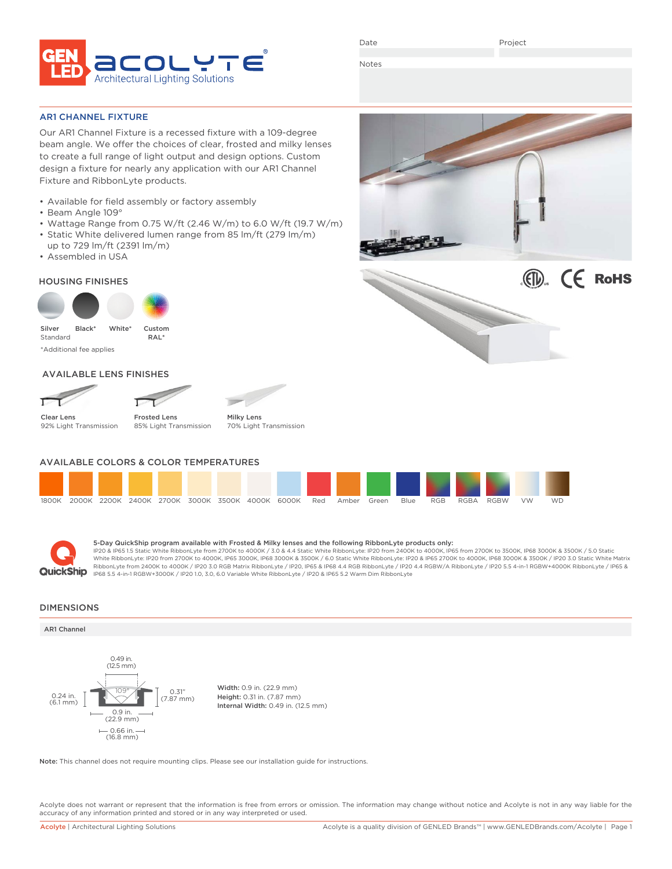

Date

Project

Notes

AR1 CHANNEL FIXTURE

Our AR1 Channel Fixture is a recessed fixture with a 109-degree beam angle. We offer the choices of clear, frosted and milky lenses to create a full range of light output and design options. Custom design a fixture for nearly any application with our AR1 Channel Fixture and RibbonLyte products.

- Available for field assembly or factory assembly
- Beam Angle 109°
- Wattage Range from 0.75 W/ft (2.46 W/m) to 6.0 W/ft (19.7 W/m)
- Static White delivered lumen range from 85 lm/ft (279 lm/m) up to 729 lm/ft (2391 lm/m)
- Assembled in USA

## HOUSING FINISHES



## AVAILABLE LENS FINISHES

Clear Lens 92% Light Transmission



Milky Lens 70% Light Transmission

**TOP** 

# AVAILABLE COLORS & COLOR TEMPERATURES





**5-Day QuickShip program available with Frosted & Milky lenses and the following RibbonLyte products only:**<br>IP20 & IP65 1.5 Static White RibbonLyte from 2700K to 4000K / 3.0 & 4.4 Static White RibbonLyte: IP20 from 2400K t White RibbonLyte: IP20 from 2700K to 4000K, IP65 3000K, IP68 3000K & 3500K / 6.0 Static White RibbonLyte: IP20 & IP65 2700K to 4000K, IP68 3000K & 3500K / IP20 3.0 Static White Matrix RibbonLyte from 2400K to 4000K / IP20 3.0 RGB Matrix RibbonLyte / IP20, IP65 & IP68 4.4 RGB MbonLyte / IP20 4.4 RGBW/A RibbonLyte / IP20 5.5 4-in-1 RGBW+4000K RibbonLyte / IP65 &<br>IP68 5.5 4-in-1 RGBW+3000K / IP20 1.0, 3.0,

### DIMENSIONS

### AR1 Channel



Width: 0.9 in. (22.9 mm) Height: 0.31 in. (7.87 mm) Internal Width: 0.49 in. (12.5 mm)

Note: This channel does not require mounting clips. Please see our installation guide for instructions.

Acolyte does not warrant or represent that the information is free from errors or omission. The information may change without notice and Acolyte is not in any way liable for the accuracy of any information printed and stored or in any way interpreted or used.

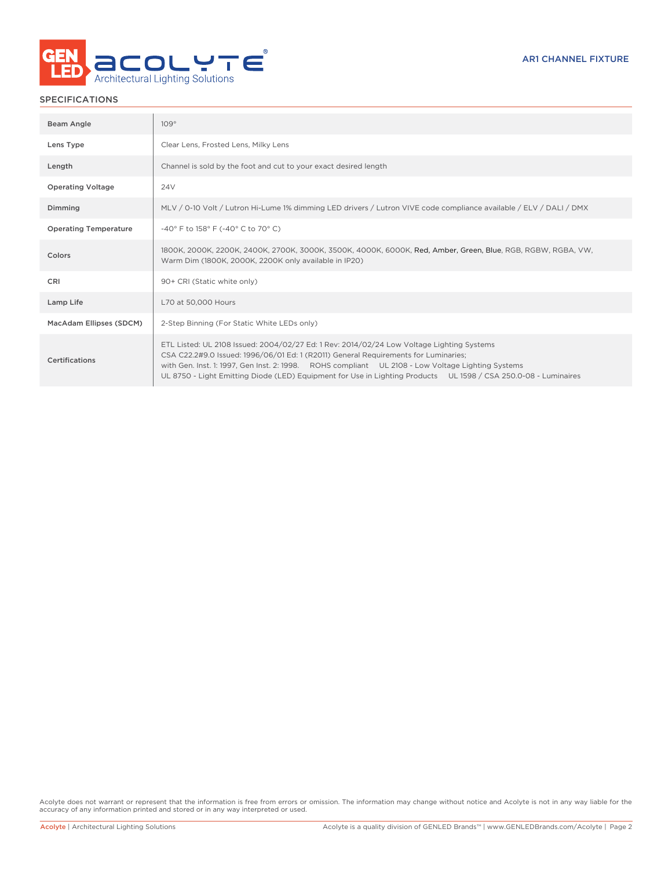

# SPECIFICATIONS

| Beam Angle                   | 109°                                                                                                                                                                                                                                                                                                                                                                                                     |
|------------------------------|----------------------------------------------------------------------------------------------------------------------------------------------------------------------------------------------------------------------------------------------------------------------------------------------------------------------------------------------------------------------------------------------------------|
| Lens Type                    | Clear Lens, Frosted Lens, Milky Lens                                                                                                                                                                                                                                                                                                                                                                     |
| Length                       | Channel is sold by the foot and cut to your exact desired length                                                                                                                                                                                                                                                                                                                                         |
| <b>Operating Voltage</b>     | <b>24V</b>                                                                                                                                                                                                                                                                                                                                                                                               |
| Dimming                      | MLV / 0-10 Volt / Lutron Hi-Lume 1% dimming LED drivers / Lutron VIVE code compliance available / ELV / DALI / DMX                                                                                                                                                                                                                                                                                       |
| <b>Operating Temperature</b> | -40° F to 158° F (-40° C to 70° C)                                                                                                                                                                                                                                                                                                                                                                       |
| Colors                       | 1800K, 2000K, 2200K, 2400K, 2700K, 3000K, 3500K, 4000K, 6000K, Red, Amber, Green, Blue, RGB, RGBW, RGBA, VW,<br>Warm Dim (1800K, 2000K, 2200K only available in IP20)                                                                                                                                                                                                                                    |
| CRI                          | 90+ CRI (Static white only)                                                                                                                                                                                                                                                                                                                                                                              |
| Lamp Life                    | L70 at 50,000 Hours                                                                                                                                                                                                                                                                                                                                                                                      |
| MacAdam Ellipses (SDCM)      | 2-Step Binning (For Static White LEDs only)                                                                                                                                                                                                                                                                                                                                                              |
| Certifications               | ETL Listed: UL 2108 Issued: 2004/02/27 Ed: 1 Rev: 2014/02/24 Low Voltage Lighting Systems<br>CSA C22.2#9.0 Issued: 1996/06/01 Ed: 1 (R2011) General Requirements for Luminaries;<br>with Gen. Inst. 1: 1997, Gen Inst. 2: 1998. ROHS compliant UL 2108 - Low Voltage Lighting Systems<br>UL 8750 - Light Emitting Diode (LED) Equipment for Use in Lighting Products UL 1598 / CSA 250.0-08 - Luminaires |

Acolyte does not warrant or represent that the information is free from errors or omission. The information may change without notice and Acolyte is not in any way liable for the accuracy of any information printed and stored or in any way interpreted or used.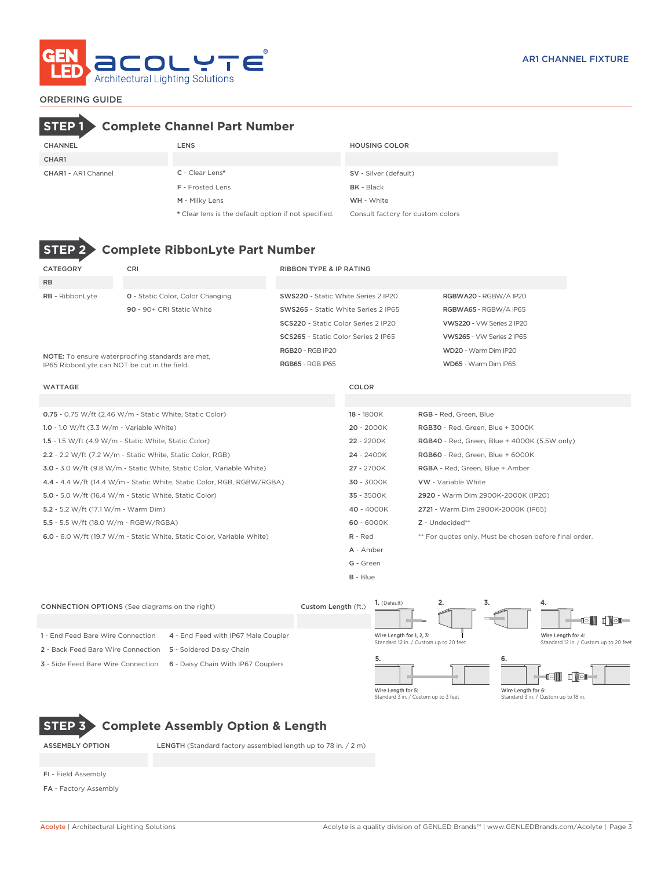

# CHANNEL LENS HOUSING COLOR **STEP 1 Complete Channel Part Number**

| CHAR1                      |                         |                        |
|----------------------------|-------------------------|------------------------|
| <b>CHAR1 - AR1 Channel</b> | $C$ - Clear Lens*       | SV - Silver (default)  |
|                            | <b>F</b> - Frosted Lens | <b>BK</b> - Black      |
|                            | $A = A + 11$            | $3.4.71.1$ $3.4.71.74$ |

 $F = B K - B R$ M - Milky Lens WH - White \* Clear lens is the default option if not specified. Consult factory for custom colors

# **STEP 2 Complete RibbonLyte Part Number**

| CATEGORY                                                   | <b>CRI</b>                                                             | <b>RIBBON TYPE &amp; IP RATING</b>  |                                                  |                                                        |
|------------------------------------------------------------|------------------------------------------------------------------------|-------------------------------------|--------------------------------------------------|--------------------------------------------------------|
| <b>RB</b>                                                  |                                                                        |                                     |                                                  |                                                        |
| RB - RibbonLyte                                            | <b>0</b> - Static Color, Color Changing                                | SWS220 - Static White Series 2 IP20 |                                                  | RGBWA20 - RGBW/A IP20                                  |
|                                                            | 90 - 90+ CRI Static White                                              | SWS265 - Static White Series 2 IP65 |                                                  | RGBWA65 - RGBW/A IP65                                  |
|                                                            |                                                                        | SCS220 - Static Color Series 2 IP20 |                                                  | VWS220 - VW Series 2 IP20                              |
|                                                            |                                                                        | SCS265 - Static Color Series 2 IP65 |                                                  | VWS265 - VW Series 2 IP65                              |
|                                                            | NOTE: To ensure waterproofing standards are met.                       | <b>RGB20 - RGB IP20</b>             |                                                  | WD20 - Warm Dim IP20                                   |
|                                                            | IP65 RibbonLyte can NOT be cut in the field.                           | RGB65 - RGB IP65                    |                                                  | WD65 - Warm Dim IP65                                   |
| <b>WATTAGE</b>                                             |                                                                        |                                     | COLOR                                            |                                                        |
|                                                            |                                                                        |                                     |                                                  |                                                        |
|                                                            | 0.75 - 0.75 W/ft (2.46 W/m - Static White, Static Color)               |                                     | 18 - 1800K<br>RGB - Red, Green, Blue             |                                                        |
| 1.0 - 1.0 W/ft $(3.3 \text{ W/m} - \text{Variable White})$ |                                                                        |                                     | $20 - 2000K$<br>RGB30 - Red. Green. Blue + 3000K |                                                        |
|                                                            | 1.5 - 1.5 W/ft $(4.9 \text{ W/m}$ - Static White, Static Color)        |                                     | 22 - 2200K                                       | <b>RGB40</b> - Red, Green, Blue + 4000K (5.5W only)    |
|                                                            | 2.2 - 2.2 W/ft (7.2 W/m - Static White, Static Color, RGB)             |                                     | 24 - 2400K                                       | RGB60 - Red, Green, Blue + 6000K                       |
|                                                            | 3.0 - 3.0 W/ft (9.8 W/m - Static White, Static Color, Variable White)  |                                     | 27 - 2700K                                       | RGBA - Red, Green, Blue + Amber                        |
|                                                            | 4.4 - 4.4 W/ft (14.4 W/m - Static White, Static Color, RGB, RGBW/RGBA) |                                     | 30 - 3000K                                       | <b>VW</b> - Variable White                             |
|                                                            | 5.0 - 5.0 W/ft (16.4 W/m - Static White, Static Color)                 |                                     | 35 - 3500K                                       | 2920 - Warm Dim 2900K-2000K (IP20)                     |
| 5.2 - 5.2 W/ft (17.1 W/m - Warm Dim)                       |                                                                        |                                     | 40 - 4000K                                       | 2721 - Warm Dim 2900K-2000K (IP65)                     |
| 5.5 - 5.5 W/ft (18.0 W/m - RGBW/RGBA)                      |                                                                        |                                     | 60 - 6000K                                       | $Z$ - Undecided**                                      |
|                                                            | 6.0 - 6.0 W/ft (19.7 W/m - Static White, Static Color, Variable White) |                                     | R - Red                                          | ** For quotes only. Must be chosen before final order. |
|                                                            |                                                                        |                                     | A - Amber                                        |                                                        |
|                                                            |                                                                        |                                     | G - Green                                        |                                                        |

B - Blue

**1.** (Default) **2. 3. 4.** CONNECTION OPTIONS (See diagrams on the right) Custom Length (ft.)  $\blacksquare$  clear lo. 1 - End Feed Bare Wire Connection 4 - End Feed with IP67 Male Coupler Wire Length for 1, 2, 3: Wire Length for 4: Standard 12 in. / Standard 12 in. / Custom up to 20 feet 2 - Back Feed Bare Wire Connection 5 - Soldered Daisy Chain **5. 6.** 3 - Side Feed Bare Wire Connection 6 - Daisy Chain With IP67 Couplers Ш Wire Length for 5: Standard 3 in. / Custom up to 3 feet Wire Length for 6: Standard 3 in. / Custom up to 18 in.

# **STEP 3 Complete Assembly Option & Length**

ASSEMBLY OPTION LENGTH (Standard factory assembled length up to 78 in. / 2 m)

- FI Field Assembly
- FA Factory Assembly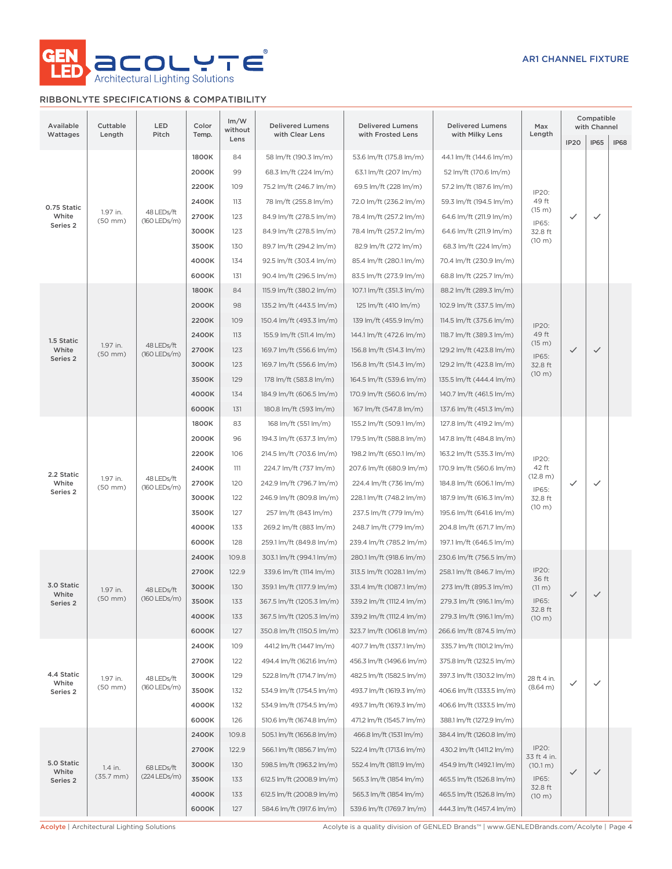

# RIBBONLYTE SPECIFICATIONS & COMPATIBILITY

| Available<br>Wattages | Cuttable<br>Length            | LED<br>Pitch                    | Color<br>Temp. | Im/W<br>without       | <b>Delivered Lumens</b><br>with Clear Lens           | <b>Delivered Lumens</b><br>with Frosted Lens       | <b>Delivered Lumens</b><br>with Milky Lens | Max<br>Length                                        | Compatible<br>with Channel  |              |      |  |  |  |  |  |  |  |  |  |  |  |  |  |  |  |       |     |                        |                        |                          |  |  |
|-----------------------|-------------------------------|---------------------------------|----------------|-----------------------|------------------------------------------------------|----------------------------------------------------|--------------------------------------------|------------------------------------------------------|-----------------------------|--------------|------|--|--|--|--|--|--|--|--|--|--|--|--|--|--|--|-------|-----|------------------------|------------------------|--------------------------|--|--|
|                       |                               |                                 |                | Lens                  |                                                      |                                                    |                                            |                                                      | <b>IP20</b>                 | IP65         | IP68 |  |  |  |  |  |  |  |  |  |  |  |  |  |  |  |       |     |                        |                        |                          |  |  |
|                       |                               | 1800K                           | 84             | 58 lm/ft (190.3 lm/m) | 53.6 lm/ft (175.8 lm/m)                              | 44.1 lm/ft (144.6 lm/m)                            |                                            |                                                      |                             |              |      |  |  |  |  |  |  |  |  |  |  |  |  |  |  |  |       |     |                        |                        |                          |  |  |
|                       |                               |                                 | 2000K          | 99                    | 68.3 lm/ft (224 lm/m)                                | 63.1 lm/ft (207 lm/m)                              | 52 lm/ft (170.6 lm/m)                      |                                                      |                             |              |      |  |  |  |  |  |  |  |  |  |  |  |  |  |  |  |       |     |                        |                        |                          |  |  |
|                       |                               |                                 | 2200K          | 109                   | 75.2 lm/ft (246.7 lm/m)                              | 69.5 lm/ft (228 lm/m)                              | 57.2 lm/ft (187.6 lm/m)                    | IP20:                                                |                             |              |      |  |  |  |  |  |  |  |  |  |  |  |  |  |  |  |       |     |                        |                        |                          |  |  |
| 0.75 Static           | 1.97 in.                      | 48 LEDs/ft                      | 2400K          | 113                   | 78 lm/ft (255.8 lm/m)                                | 72.0 lm/ft (236.2 lm/m)                            | 59.3 lm/ft (194.5 lm/m)                    | 49 ft<br>(15 m)                                      |                             |              |      |  |  |  |  |  |  |  |  |  |  |  |  |  |  |  |       |     |                        |                        |                          |  |  |
| White<br>Series 2     | $(50$ mm $)$                  | $(160$ LEDs/m)                  | 2700K          | 123                   | 84.9 lm/ft (278.5 lm/m)                              | 78.4 lm/ft (257.2 lm/m)                            | 64.6 lm/ft (211.9 lm/m)                    | IP65:                                                | ✓                           | ✓            |      |  |  |  |  |  |  |  |  |  |  |  |  |  |  |  |       |     |                        |                        |                          |  |  |
|                       |                               |                                 | 3000K          | 123                   | 84.9 lm/ft (278.5 lm/m)                              | 78.4 lm/ft (257.2 lm/m)                            | 64.6 lm/ft (211.9 lm/m)                    | 32.8 ft<br>$(10 \text{ m})$                          |                             |              |      |  |  |  |  |  |  |  |  |  |  |  |  |  |  |  |       |     |                        |                        |                          |  |  |
|                       |                               |                                 | 3500K          | 130                   | 89.7 lm/ft (294.2 lm/m)                              | 82.9 lm/ft (272 lm/m)                              | 68.3 lm/ft (224 lm/m)                      |                                                      |                             |              |      |  |  |  |  |  |  |  |  |  |  |  |  |  |  |  |       |     |                        |                        |                          |  |  |
|                       |                               |                                 | 4000K          | 134                   | 92.5 lm/ft (303.4 lm/m)                              | 85.4 lm/ft (280.1 lm/m)                            | 70.4 lm/ft (230.9 lm/m)                    |                                                      |                             |              |      |  |  |  |  |  |  |  |  |  |  |  |  |  |  |  |       |     |                        |                        |                          |  |  |
|                       |                               |                                 | 6000K          | 131                   | 90.4 lm/ft (296.5 lm/m)                              | 83.5 lm/ft (273.9 lm/m)                            | 68.8 lm/ft (225.7 lm/m)                    |                                                      |                             |              |      |  |  |  |  |  |  |  |  |  |  |  |  |  |  |  |       |     |                        |                        |                          |  |  |
|                       |                               |                                 | 1800K          | 84                    | 115.9 lm/ft (380.2 lm/m)                             | 107.1 lm/ft (351.3 lm/m)                           | 88.2 lm/ft (289.3 lm/m)                    |                                                      |                             |              |      |  |  |  |  |  |  |  |  |  |  |  |  |  |  |  |       |     |                        |                        |                          |  |  |
|                       |                               |                                 | 2000K          | 98                    | 135.2 lm/ft (443.5 lm/m)                             | 125 lm/ft (410 lm/m)                               | 102.9 lm/ft (337.5 lm/m)                   |                                                      |                             |              |      |  |  |  |  |  |  |  |  |  |  |  |  |  |  |  |       |     |                        |                        |                          |  |  |
|                       |                               |                                 | 2200K          | 109                   | 150.4 lm/ft (493.3 lm/m)                             | 139 lm/ft (455.9 lm/m)                             | 114.5 lm/ft (375.6 lm/m)                   | IP20:                                                |                             |              |      |  |  |  |  |  |  |  |  |  |  |  |  |  |  |  |       |     |                        |                        |                          |  |  |
| 1.5 Static            | 1.97 in.                      | 48 LEDs/ft                      | 2400K          | 113                   | 155.9 lm/ft (511.4 lm/m)                             | 144.1 lm/ft (472.6 lm/m)                           | 118.7 lm/ft (389.3 lm/m)                   | 49 ft<br>(15 m)                                      |                             |              |      |  |  |  |  |  |  |  |  |  |  |  |  |  |  |  |       |     |                        |                        |                          |  |  |
| White<br>Series 2     | $(50$ mm $)$                  | (160 LEDs/m)                    | 2700K          | 123                   | 169.7 lm/ft (556.6 lm/m)                             | 156.8 lm/ft (514.3 lm/m)                           | 129.2 lm/ft (423.8 lm/m)                   | IP65:                                                | $\checkmark$                | $\checkmark$ |      |  |  |  |  |  |  |  |  |  |  |  |  |  |  |  |       |     |                        |                        |                          |  |  |
|                       |                               |                                 | 3000K          | 123                   | 169.7 lm/ft (556.6 lm/m)                             | 156.8 lm/ft (514.3 lm/m)                           | 129.2 lm/ft (423.8 lm/m)                   | 32.8 ft<br>$(10 \text{ m})$                          |                             |              |      |  |  |  |  |  |  |  |  |  |  |  |  |  |  |  |       |     |                        |                        |                          |  |  |
|                       |                               |                                 | 3500K          | 129                   | 178 lm/ft (583.8 lm/m)                               | 164.5 lm/ft (539.6 lm/m)                           | 135.5 lm/ft (444.4 lm/m)                   |                                                      |                             |              |      |  |  |  |  |  |  |  |  |  |  |  |  |  |  |  |       |     |                        |                        |                          |  |  |
|                       |                               |                                 | 4000K          | 134                   | 184.9 lm/ft (606.5 lm/m)                             | 170.9 lm/ft (560.6 lm/m)                           | 140.7 lm/ft (461.5 lm/m)                   |                                                      |                             |              |      |  |  |  |  |  |  |  |  |  |  |  |  |  |  |  |       |     |                        |                        |                          |  |  |
|                       |                               |                                 | 6000K          | 131                   | 180.8 lm/ft (593 lm/m)                               | 167 lm/ft (547.8 lm/m)                             | 137.6 lm/ft (451.3 lm/m)                   |                                                      |                             |              |      |  |  |  |  |  |  |  |  |  |  |  |  |  |  |  |       |     |                        |                        |                          |  |  |
|                       |                               | 1800K                           | 83             | 168 lm/ft (551 lm/m)  | 155.2 lm/ft (509.1 lm/m)                             | 127.8 lm/ft (419.2 lm/m)                           |                                            |                                                      |                             |              |      |  |  |  |  |  |  |  |  |  |  |  |  |  |  |  |       |     |                        |                        |                          |  |  |
|                       |                               | 48 LEDs/ft<br>$(160$ LEDs/m)    | 2000K          | 96                    | 194.3 lm/ft (637.3 lm/m)                             | 179.5 lm/ft (588.8 lm/m)                           | 147.8 lm/ft (484.8 lm/m)                   |                                                      | $\checkmark$                | $\checkmark$ |      |  |  |  |  |  |  |  |  |  |  |  |  |  |  |  |       |     |                        |                        |                          |  |  |
|                       |                               |                                 | 2200K          | 106                   | 214.5 lm/ft (703.6 lm/m)                             | 198.2 lm/ft (650.1 lm/m)                           | 163.2 lm/ft (535.3 lm/m)                   | IP20:<br>42 ft                                       |                             |              |      |  |  |  |  |  |  |  |  |  |  |  |  |  |  |  |       |     |                        |                        |                          |  |  |
| 2.2 Static<br>White   | 1.97 in.<br>$(50$ mm $)$      |                                 | 2400K<br>2700K | 111<br>120            | 224.7 lm/ft (737 lm/m)                               | 207.6 lm/ft (680.9 lm/m)                           | 170.9 lm/ft (560.6 lm/m)                   | (12.8 m)                                             |                             |              |      |  |  |  |  |  |  |  |  |  |  |  |  |  |  |  |       |     |                        |                        |                          |  |  |
| Series 2              |                               |                                 | 3000K          | 122                   | 242.9 lm/ft (796.7 lm/m)<br>246.9 lm/ft (809.8 lm/m) | 224.4 lm/ft (736 lm/m)<br>228.1 lm/ft (748.2 lm/m) | 184.8 lm/ft (606.1 lm/m)                   | IP65:                                                |                             |              |      |  |  |  |  |  |  |  |  |  |  |  |  |  |  |  |       |     |                        |                        |                          |  |  |
|                       |                               |                                 |                | 3500K                 | 127                                                  | 257 lm/ft (843 lm/m)                               | 237.5 lm/ft (779 lm/m)                     | 187.9 lm/ft (616.3 lm/m)<br>195.6 lm/ft (641.6 lm/m) | 32.8 ft<br>$(10 \text{ m})$ |              |      |  |  |  |  |  |  |  |  |  |  |  |  |  |  |  |       |     |                        |                        |                          |  |  |
|                       |                               |                                 |                |                       |                                                      |                                                    |                                            |                                                      |                             |              |      |  |  |  |  |  |  |  |  |  |  |  |  |  |  |  | 4000K | 133 | 269.2 lm/ft (883 lm/m) | 248.7 lm/ft (779 lm/m) | 204.8 lm/ft (671.7 lm/m) |  |  |
|                       |                               |                                 | 6000K          | 128                   | 259.1 lm/ft (849.8 lm/m)                             | 239.4 lm/ft (785.2 lm/m)                           | 197.1 lm/ft (646.5 lm/m)                   |                                                      |                             |              |      |  |  |  |  |  |  |  |  |  |  |  |  |  |  |  |       |     |                        |                        |                          |  |  |
|                       |                               |                                 | 2400K          | 109.8                 | 303.1 lm/ft (994.1 lm/m)                             | 280.1 lm/ft (918.6 lm/m)                           | 230.6 lm/ft (756.5 lm/m)                   |                                                      |                             |              |      |  |  |  |  |  |  |  |  |  |  |  |  |  |  |  |       |     |                        |                        |                          |  |  |
|                       |                               |                                 | 2700K          | 122.9                 | 339.6 lm/ft (1114 lm/m)                              | 313.5 lm/ft (1028.1 lm/m)                          | 258.1 lm/ft (846.7 lm/m)                   | IP20:                                                |                             |              |      |  |  |  |  |  |  |  |  |  |  |  |  |  |  |  |       |     |                        |                        |                          |  |  |
| 3.0 Static            |                               |                                 | 3000K          | 130                   | 359.1 lm/ft (1177.9 lm/m)                            | 331.4 lm/ft (1087.1 lm/m)                          | 273 lm/ft (895.3 lm/m)                     | 36 ft<br>(11 m)                                      |                             |              |      |  |  |  |  |  |  |  |  |  |  |  |  |  |  |  |       |     |                        |                        |                          |  |  |
| White                 | 1.97 in.<br>$(50 \text{ mm})$ | 48 LEDs/ft<br>$(160$ LEDs/m $)$ | 3500K          | 133                   | 367.5 lm/ft (1205.3 lm/m)                            | 339.2 lm/ft (1112.4 lm/m)                          | 279.3 lm/ft (916.1 lm/m)                   | IP65:                                                | $\checkmark$                | $\checkmark$ |      |  |  |  |  |  |  |  |  |  |  |  |  |  |  |  |       |     |                        |                        |                          |  |  |
| Series 2              |                               |                                 | 4000K          | 133                   | 367.5 lm/ft (1205.3 lm/m)                            | 339.2 lm/ft (1112.4 lm/m)                          | 279.3 lm/ft (916.1 lm/m)                   | 32.8 ft<br>(10 m)                                    |                             |              |      |  |  |  |  |  |  |  |  |  |  |  |  |  |  |  |       |     |                        |                        |                          |  |  |
|                       |                               |                                 | 6000K          | 127                   | 350.8 lm/ft (1150.5 lm/m)                            | 323.7 lm/ft (1061.8 lm/m)                          | 266.6 lm/ft (874.5 lm/m)                   |                                                      |                             |              |      |  |  |  |  |  |  |  |  |  |  |  |  |  |  |  |       |     |                        |                        |                          |  |  |
|                       |                               |                                 | 2400K          | 109                   | 441.2 lm/ft (1447 lm/m)                              | 407.7 lm/ft (1337.1 lm/m)                          | 335.7 lm/ft (1101.2 lm/m)                  |                                                      |                             |              |      |  |  |  |  |  |  |  |  |  |  |  |  |  |  |  |       |     |                        |                        |                          |  |  |
|                       |                               |                                 | 2700K          | 122                   | 494.4 lm/ft (1621.6 lm/m)                            | 456.3 lm/ft (1496.6 lm/m)                          | 375.8 lm/ft (1232.5 lm/m)                  |                                                      |                             |              |      |  |  |  |  |  |  |  |  |  |  |  |  |  |  |  |       |     |                        |                        |                          |  |  |
| 4.4 Static            |                               |                                 | 3000K          | 129                   | 522.8 lm/ft (1714.7 lm/m)                            | 482.5 lm/ft (1582.5 lm/m)                          | 397.3 lm/ft (1303.2 lm/m)                  |                                                      |                             |              |      |  |  |  |  |  |  |  |  |  |  |  |  |  |  |  |       |     |                        |                        |                          |  |  |
| White<br>Series 2     | 1.97 in.<br>$(50$ mm $)$      | 48 LEDs/ft<br>(160 LEDs/m)      | 3500K          | 132                   | 534.9 lm/ft (1754.5 lm/m)                            | 493.7 lm/ft (1619.3 lm/m)                          | 406.6 lm/ft (1333.5 lm/m)                  | 28 ft 4 in.<br>(8.64 m)                              | $\checkmark$                | ✓            |      |  |  |  |  |  |  |  |  |  |  |  |  |  |  |  |       |     |                        |                        |                          |  |  |
|                       |                               |                                 | 4000K          | 132                   | 534.9 lm/ft (1754.5 lm/m)                            | 493.7 lm/ft (1619.3 lm/m)                          | 406.6 lm/ft (1333.5 lm/m)                  |                                                      |                             |              |      |  |  |  |  |  |  |  |  |  |  |  |  |  |  |  |       |     |                        |                        |                          |  |  |
|                       |                               |                                 | 6000K          | 126                   | 510.6 lm/ft (1674.8 lm/m)                            | 471.2 lm/ft (1545.7 lm/m)                          | 388.1 lm/ft (1272.9 lm/m)                  |                                                      |                             |              |      |  |  |  |  |  |  |  |  |  |  |  |  |  |  |  |       |     |                        |                        |                          |  |  |
|                       |                               |                                 | 2400K          | 109.8                 | 505.1 lm/ft (1656.8 lm/m)                            | 466.8 lm/ft (1531 lm/m)                            | 384.4 lm/ft (1260.8 lm/m)                  |                                                      |                             |              |      |  |  |  |  |  |  |  |  |  |  |  |  |  |  |  |       |     |                        |                        |                          |  |  |
|                       |                               |                                 | 2700K          | 122.9                 | 566.1 lm/ft (1856.7 lm/m)                            | 522.4 lm/ft (1713.6 lm/m)                          | 430.2 lm/ft (1411.2 lm/m)                  | IP20:                                                |                             |              |      |  |  |  |  |  |  |  |  |  |  |  |  |  |  |  |       |     |                        |                        |                          |  |  |
| 5.0 Static            | 1.4 in.                       | 68 LEDs/ft                      | 3000K          | 130                   | 598.5 lm/ft (1963.2 lm/m)                            | 552.4 lm/ft (1811.9 lm/m)                          | 454.9 lm/ft (1492.1 lm/m)                  | 33 ft 4 in.<br>(10.1 m)                              |                             |              |      |  |  |  |  |  |  |  |  |  |  |  |  |  |  |  |       |     |                        |                        |                          |  |  |
| White<br>Series 2     | $(35.7 \, \text{mm})$         | (224 LEDs/m)                    | 3500K          | 133                   | 612.5 lm/ft (2008.9 lm/m)                            | 565.3 lm/ft (1854 lm/m)                            | 465.5 lm/ft (1526.8 lm/m)                  | IP65:                                                | $\checkmark$                | $\checkmark$ |      |  |  |  |  |  |  |  |  |  |  |  |  |  |  |  |       |     |                        |                        |                          |  |  |
|                       |                               |                                 | 4000K          | 133                   | 612.5 lm/ft (2008.9 lm/m)                            | 565.3 lm/ft (1854 lm/m)                            | 465.5 lm/ft (1526.8 lm/m)                  | 32.8 ft<br>(10 m)                                    |                             |              |      |  |  |  |  |  |  |  |  |  |  |  |  |  |  |  |       |     |                        |                        |                          |  |  |
|                       |                               |                                 | 6000K          | 127                   | 584.6 lm/ft (1917.6 lm/m)                            | 539.6 lm/ft (1769.7 lm/m)                          | 444.3 lm/ft (1457.4 lm/m)                  |                                                      |                             |              |      |  |  |  |  |  |  |  |  |  |  |  |  |  |  |  |       |     |                        |                        |                          |  |  |
|                       |                               |                                 |                |                       |                                                      |                                                    |                                            |                                                      |                             |              |      |  |  |  |  |  |  |  |  |  |  |  |  |  |  |  |       |     |                        |                        |                          |  |  |

Acolyte | Architectural Lighting Solutions **Acolyte is a quality division of GENLED Brands™** | www.GENLEDBrands.com/Acolyte | Page 4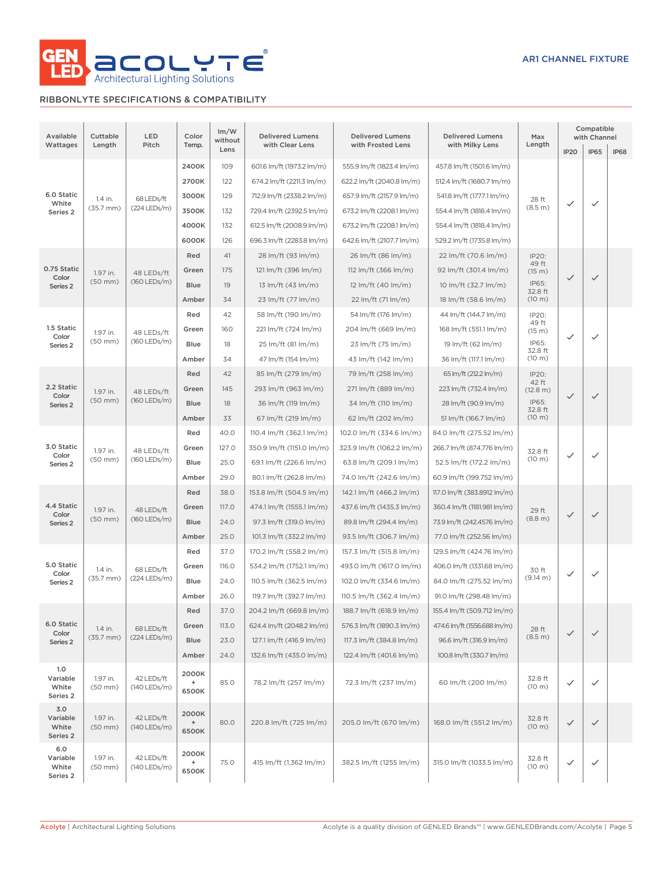

# RIBBONLYTE SPECIFICATIONS & COMPATIBILITY

| Available<br>Wattages                | Cuttable<br>Length       | LED<br>Pitch               | Color<br>Temp.                                     | Im/W<br>without | <b>Delivered Lumens</b><br>with Clear Lens | <b>Delivered Lumens</b><br>with Frosted Lens | <b>Delivered Lumens</b><br>with Milky Lens | Max<br>Length            |                     | Compatible<br>with Channel |                  |                         |                         |                         |                        |                   |              |              |     |      |                          |                          |                             |  |  |  |             |      |                         |                         |                            |         |              |              |  |  |  |  |       |       |                           |                           |                             |       |  |  |  |
|--------------------------------------|--------------------------|----------------------------|----------------------------------------------------|-----------------|--------------------------------------------|----------------------------------------------|--------------------------------------------|--------------------------|---------------------|----------------------------|------------------|-------------------------|-------------------------|-------------------------|------------------------|-------------------|--------------|--------------|-----|------|--------------------------|--------------------------|-----------------------------|--|--|--|-------------|------|-------------------------|-------------------------|----------------------------|---------|--------------|--------------|--|--|--|--|-------|-------|---------------------------|---------------------------|-----------------------------|-------|--|--|--|
|                                      |                          |                            |                                                    | Lens            |                                            |                                              |                                            |                          | IP <sub>20</sub>    | <b>IP65</b>                | <b>IP68</b>      |                         |                         |                         |                        |                   |              |              |     |      |                          |                          |                             |  |  |  |             |      |                         |                         |                            |         |              |              |  |  |  |  |       |       |                           |                           |                             |       |  |  |  |
|                                      |                          |                            | 2400K                                              | 109             | 601.6 lm/ft (1973.2 lm/m)                  | 555.9 lm/ft (1823.4 lm/m)                    | 457.8 lm/ft (1501.6 lm/m)                  |                          |                     |                            |                  |                         |                         |                         |                        |                   |              |              |     |      |                          |                          |                             |  |  |  |             |      |                         |                         |                            |         |              |              |  |  |  |  |       |       |                           |                           |                             |       |  |  |  |
|                                      |                          |                            | 2700K                                              | 122             | 674.2 lm/ft (2211.3 lm/m)                  | 622.2 lm/ft (2040.8 lm/m)                    | 512.4 lm/ft (1680.7 lm/m)                  |                          |                     |                            |                  |                         |                         |                         |                        |                   |              |              |     |      |                          |                          |                             |  |  |  |             |      |                         |                         |                            |         |              |              |  |  |  |  |       |       |                           |                           |                             |       |  |  |  |
| 6.0 Static<br>White                  | 1.4 in.                  | 68 LEDs/ft                 | 3000K                                              | 129             | 712.9 lm/ft (2338.2 lm/m)                  | 657.9 lm/ft (2157.9 lm/m)                    | 541.8 lm/ft (1777.1 lm/m)                  | 28 ft                    | ✓                   | $\checkmark$               |                  |                         |                         |                         |                        |                   |              |              |     |      |                          |                          |                             |  |  |  |             |      |                         |                         |                            |         |              |              |  |  |  |  |       |       |                           |                           |                             |       |  |  |  |
| Series 2                             | $(35.7$ mm $)$           | (224 LEDs/m)               | 3500K                                              | 132             | 729.4 lm/ft (2392.5 lm/m)                  | 673.2 lm/ft (2208.1 lm/m)                    | 554.4 lm/ft (1818.4 lm/m)                  | (8.5 m)                  |                     |                            |                  |                         |                         |                         |                        |                   |              |              |     |      |                          |                          |                             |  |  |  |             |      |                         |                         |                            |         |              |              |  |  |  |  |       |       |                           |                           |                             |       |  |  |  |
|                                      |                          |                            | 4000K                                              | 132             | 612.5 lm/ft (2008.9 lm/m)                  | 673.2 lm/ft (2208.1 lm/m)                    | 554.4 lm/ft (1818.4 lm/m)                  |                          |                     |                            |                  |                         |                         |                         |                        |                   |              |              |     |      |                          |                          |                             |  |  |  |             |      |                         |                         |                            |         |              |              |  |  |  |  |       |       |                           |                           |                             |       |  |  |  |
|                                      |                          |                            | 6000K                                              | 126             | 696.3 lm/ft (2283.8 lm/m)                  | 642.6 lm/ft (2107.7 lm/m)                    | 529.2 lm/ft (1735.8 lm/m)                  |                          |                     |                            |                  |                         |                         |                         |                        |                   |              |              |     |      |                          |                          |                             |  |  |  |             |      |                         |                         |                            |         |              |              |  |  |  |  |       |       |                           |                           |                             |       |  |  |  |
|                                      |                          |                            | Red                                                | 41              | 28 lm/ft (93 lm/m)                         | 26 lm/ft (86 lm/m)                           | 22 lm/ft (70.6 lm/m)                       | IP20:<br>49 ft           |                     |                            |                  |                         |                         |                         |                        |                   |              |              |     |      |                          |                          |                             |  |  |  |             |      |                         |                         |                            |         |              |              |  |  |  |  |       |       |                           |                           |                             |       |  |  |  |
| 0.75 Static<br>Color                 | 1.97 in.                 | 48 LEDs/ft                 | Green                                              | 175             | 121 lm/ft (396 lm/m)                       | 112 lm/ft (366 lm/m)                         | 92 lm/ft (301.4 lm/m)                      | (15 m)                   | $\checkmark$        | $\checkmark$               |                  |                         |                         |                         |                        |                   |              |              |     |      |                          |                          |                             |  |  |  |             |      |                         |                         |                            |         |              |              |  |  |  |  |       |       |                           |                           |                             |       |  |  |  |
| Series <sub>2</sub>                  | $(50$ mm $)$             | (160 LEDs/m)               | <b>Blue</b>                                        | 19              | 13 $Im/ft$ (43 $Im/m$ )                    | $12 \, \text{Im/ft}$ (40 $\text{Im/m}$ )     | 10 lm/ft (32.7 lm/m)                       | IP65:<br>32.8 ft         |                     |                            |                  |                         |                         |                         |                        |                   |              |              |     |      |                          |                          |                             |  |  |  |             |      |                         |                         |                            |         |              |              |  |  |  |  |       |       |                           |                           |                             |       |  |  |  |
|                                      |                          |                            | Amber                                              | 34              | 23 lm/ft (77 lm/m)                         | 22 lm/ft (71 lm/m)                           | 18 lm/ft (58.6 lm/m)                       | (10 m)                   |                     |                            |                  |                         |                         |                         |                        |                   |              |              |     |      |                          |                          |                             |  |  |  |             |      |                         |                         |                            |         |              |              |  |  |  |  |       |       |                           |                           |                             |       |  |  |  |
|                                      |                          |                            | Red                                                | 42              | 58 lm/ft (190 lm/m)                        | 54 lm/ft (176 lm/m)                          | 44 lm/ft (144.7 lm/m)                      | IP20:<br>49 ft           |                     |                            |                  |                         |                         |                         |                        |                   |              |              |     |      |                          |                          |                             |  |  |  |             |      |                         |                         |                            |         |              |              |  |  |  |  |       |       |                           |                           |                             |       |  |  |  |
| 1.5 Static<br>Color                  | 1.97 in.                 | 48 LEDs/ft                 | Green                                              | 160             | 221 lm/ft (724 lm/m)                       | 204 lm/ft (669 lm/m)                         | 168 lm/ft (551.1 lm/m)                     | (15 m)                   | $\checkmark$        | $\checkmark$               |                  |                         |                         |                         |                        |                   |              |              |     |      |                          |                          |                             |  |  |  |             |      |                         |                         |                            |         |              |              |  |  |  |  |       |       |                           |                           |                             |       |  |  |  |
| Series <sub>2</sub>                  | $(50$ mm $)$             | (160 LEDs/m)               | <b>Blue</b>                                        | 18              | 25 lm/ft (81 lm/m)                         | 23 lm/ft (75 lm/m)                           | 19 lm/ft (62 lm/m)                         | IP65:<br>32.8 ft         |                     |                            |                  |                         |                         |                         |                        |                   |              |              |     |      |                          |                          |                             |  |  |  |             |      |                         |                         |                            |         |              |              |  |  |  |  |       |       |                           |                           |                             |       |  |  |  |
|                                      |                          |                            | Amber                                              | 34              | 47 lm/ft (154 lm/m)                        | 43 lm/ft (142 lm/m)                          | 36 lm/ft (117.1 lm/m)                      | (10 m)                   |                     |                            |                  |                         |                         |                         |                        |                   |              |              |     |      |                          |                          |                             |  |  |  |             |      |                         |                         |                            |         |              |              |  |  |  |  |       |       |                           |                           |                             |       |  |  |  |
|                                      |                          |                            | Red                                                | 42              | 85 lm/ft (279 lm/m)                        | 79 lm/ft (258 lm/m)                          | 65 lm/ft (212.2 lm/m)                      | IP20:                    |                     |                            |                  |                         |                         |                         |                        |                   |              |              |     |      |                          |                          |                             |  |  |  |             |      |                         |                         |                            |         |              |              |  |  |  |  |       |       |                           |                           |                             |       |  |  |  |
| 2.2 Static<br>Color                  | 1.97 in.                 | 48 LEDs/ft<br>(160 LEDs/m) |                                                    |                 |                                            |                                              |                                            |                          |                     |                            | Green            | 145                     | 293 lm/ft (963 lm/m)    | 271 lm/ft (889 lm/m)    | 223 lm/ft (732.4 lm/m) | 42 ft<br>(12.8 m) | $\checkmark$ | $\checkmark$ |     |      |                          |                          |                             |  |  |  |             |      |                         |                         |                            |         |              |              |  |  |  |  |       |       |                           |                           |                             |       |  |  |  |
| Series <sub>2</sub>                  | $(50$ mm $)$             |                            |                                                    |                 |                                            | <b>Blue</b>                                  | 18                                         | 36 lm/ft (119 lm/m)      | 34 lm/ft (110 lm/m) | 28 lm/ft (90.9 lm/m)       | IP65:<br>32.8 ft |                         |                         |                         |                        |                   |              |              |     |      |                          |                          |                             |  |  |  |             |      |                         |                         |                            |         |              |              |  |  |  |  |       |       |                           |                           |                             |       |  |  |  |
|                                      |                          |                            | Amber                                              | 33              | 67 lm/ft (219 lm/m)                        | 62 lm/ft (202 lm/m)                          | 51 lm/ft (166.7 lm/m)                      | (10 m)                   |                     |                            |                  |                         |                         |                         |                        |                   |              |              |     |      |                          |                          |                             |  |  |  |             |      |                         |                         |                            |         |              |              |  |  |  |  |       |       |                           |                           |                             |       |  |  |  |
|                                      |                          |                            |                                                    | Red             | 40.0                                       | 110.4 lm/ft (362.1 lm/m)                     | 102.0 lm/ft (334.6 lm/m)                   | 84.0 lm/ft (275.52 lm/m) |                     |                            |                  |                         |                         |                         |                        |                   |              |              |     |      |                          |                          |                             |  |  |  |             |      |                         |                         |                            |         |              |              |  |  |  |  |       |       |                           |                           |                             |       |  |  |  |
| 3.0 Static                           | 1.97 in.                 | 48 LEDs/ft                 | Green                                              | 127.0           | 350.9 lm/ft (1151.0 lm/m)                  | 323.9 lm/ft (1062.2 lm/m)                    | 266.7 lm/ft (874.776 lm/m)                 | 32.8 ft                  |                     |                            |                  |                         |                         |                         |                        |                   |              |              |     |      |                          |                          |                             |  |  |  |             |      |                         |                         |                            |         |              |              |  |  |  |  |       |       |                           |                           |                             |       |  |  |  |
| Color<br>Series 2                    | $(50$ mm $)$             | (160 LEDs/m)               |                                                    |                 |                                            |                                              |                                            |                          |                     | <b>Blue</b>                | 25.0             | 69.1 lm/ft (226.6 lm/m) | 63.8 lm/ft (209.1 lm/m) | 52.5 lm/ft (172.2 lm/m) | (10 m)                 | ✓                 | $\checkmark$ |              |     |      |                          |                          |                             |  |  |  |             |      |                         |                         |                            |         |              |              |  |  |  |  |       |       |                           |                           |                             |       |  |  |  |
|                                      |                          |                            | Amber                                              | 29.0            | 80.1 lm/ft (262.8 lm/m)                    | 74.0 lm/ft (242.6 lm/m)                      | 60.9 lm/ft (199.752 lm/m)                  |                          |                     |                            |                  |                         |                         |                         |                        |                   |              |              |     |      |                          |                          |                             |  |  |  |             |      |                         |                         |                            |         |              |              |  |  |  |  |       |       |                           |                           |                             |       |  |  |  |
|                                      |                          |                            |                                                    |                 |                                            |                                              |                                            |                          |                     |                            |                  |                         |                         |                         |                        |                   |              |              | Red | 38.0 | 153.8 lm/ft (504.5 lm/m) | 142.1 lm/ft (466.2 lm/m) | 117.0 lm/ft (383.8912 lm/m) |  |  |  |             |      |                         |                         |                            |         |              |              |  |  |  |  |       |       |                           |                           |                             |       |  |  |  |
| 4.4 Static                           | 1.97 in.                 | 48 LEDs/ft<br>(160 LEDs/m) |                                                    |                 |                                            |                                              |                                            |                          |                     |                            |                  |                         |                         |                         |                        |                   |              |              |     |      |                          |                          |                             |  |  |  |             |      |                         |                         |                            |         |              |              |  |  |  |  | Green | 117.0 | 474.1 lm/ft (1555.1 lm/m) | 437.6 lm/ft (1435.3 lm/m) | 360.4 lm/ft (1181.981 lm/m) | 29 ft |  |  |  |
| Color<br>Series <sub>2</sub>         | $(50$ mm $)$             |                            |                                                    |                 |                                            |                                              |                                            |                          |                     |                            |                  |                         |                         |                         |                        |                   |              |              |     |      |                          |                          |                             |  |  |  | <b>Blue</b> | 24.0 | 97.3 lm/ft (319.0 lm/m) | 89.8 lm/ft (294.4 lm/m) | 73.9 lm/ft (242.4576 lm/m) | (8.8 m) | $\checkmark$ | $\checkmark$ |  |  |  |  |       |       |                           |                           |                             |       |  |  |  |
|                                      |                          |                            | Amber                                              | 25.0            | 101.3 lm/ft (332.2 lm/m)                   | 93.5 lm/ft (306.7 lm/m)                      | 77.0 lm/ft (252.56 lm/m)                   |                          |                     |                            |                  |                         |                         |                         |                        |                   |              |              |     |      |                          |                          |                             |  |  |  |             |      |                         |                         |                            |         |              |              |  |  |  |  |       |       |                           |                           |                             |       |  |  |  |
|                                      |                          |                            | Red                                                | 37.0            | 170.2 lm/ft (558.2 lm/m)                   | 157.3 lm/ft (515.8 lm/m)                     | 129.5 lm/ft (424.76 lm/m)                  |                          |                     |                            |                  |                         |                         |                         |                        |                   |              |              |     |      |                          |                          |                             |  |  |  |             |      |                         |                         |                            |         |              |              |  |  |  |  |       |       |                           |                           |                             |       |  |  |  |
| 5.0 Static                           | 1.4 in.                  | 68 LEDs/ft                 | Green                                              | 116.0           | 534.2 lm/ft (1752.1 lm/m)                  | 493.0 lm/ft (1617.0 lm/m)                    | 406.0 lm/ft (1331.68 lm/m)                 | 30 ft                    |                     |                            |                  |                         |                         |                         |                        |                   |              |              |     |      |                          |                          |                             |  |  |  |             |      |                         |                         |                            |         |              |              |  |  |  |  |       |       |                           |                           |                             |       |  |  |  |
| Color<br>Series 2                    | $(35.7$ mm $)$           | (224 LEDs/m)               | <b>Blue</b>                                        | 24.0            | 110.5 lm/ft (362.5 lm/m)                   | 102.0 lm/ft (334.6 lm/m)                     | 84.0 lm/ft (275.52 lm/m)                   | $(9.14 \text{ m})$       | ✓                   | $\checkmark$               |                  |                         |                         |                         |                        |                   |              |              |     |      |                          |                          |                             |  |  |  |             |      |                         |                         |                            |         |              |              |  |  |  |  |       |       |                           |                           |                             |       |  |  |  |
|                                      |                          |                            | Amber                                              | 26.0            | 119.7 lm/ft (392.7 lm/m)                   | 110.5 lm/ft (362.4 lm/m)                     | 91.0 lm/ft (298.48 lm/m)                   |                          |                     |                            |                  |                         |                         |                         |                        |                   |              |              |     |      |                          |                          |                             |  |  |  |             |      |                         |                         |                            |         |              |              |  |  |  |  |       |       |                           |                           |                             |       |  |  |  |
|                                      |                          |                            | Red                                                | 37.0            | 204.2 lm/ft (669.8 lm/m)                   | 188.7 lm/ft (618.9 lm/m)                     | 155.4 lm/ft (509.712 lm/m)                 |                          |                     |                            |                  |                         |                         |                         |                        |                   |              |              |     |      |                          |                          |                             |  |  |  |             |      |                         |                         |                            |         |              |              |  |  |  |  |       |       |                           |                           |                             |       |  |  |  |
| 6.0 Static                           | 1.4 in.                  | 68 LEDs/ft                 | Green                                              | 113.0           | 624.4 lm/ft (2048.2 lm/m)                  | 576.3 lm/ft (1890.3 lm/m)                    | 474.6 lm/ft (1556.688 lm/m)                | 28 ft                    |                     |                            |                  |                         |                         |                         |                        |                   |              |              |     |      |                          |                          |                             |  |  |  |             |      |                         |                         |                            |         |              |              |  |  |  |  |       |       |                           |                           |                             |       |  |  |  |
| Color<br>Series 2                    | $(35.7$ mm $)$           | (224 LEDs/m)               | <b>Blue</b>                                        | 23.0            | 127.1 lm/ft (416.9 lm/m)                   | 117.3 lm/ft (384.8 lm/m)                     | 96.6 lm/ft (316.9 lm/m)                    | (8.5 m)                  | $\checkmark$        | $\checkmark$               |                  |                         |                         |                         |                        |                   |              |              |     |      |                          |                          |                             |  |  |  |             |      |                         |                         |                            |         |              |              |  |  |  |  |       |       |                           |                           |                             |       |  |  |  |
|                                      |                          |                            | Amber                                              | 24.0            | 132.6 lm/ft (435.0 lm/m)                   | 122.4 lm/ft (401.6 lm/m)                     | 100.8 lm/ft (330.7 lm/m)                   |                          |                     |                            |                  |                         |                         |                         |                        |                   |              |              |     |      |                          |                          |                             |  |  |  |             |      |                         |                         |                            |         |              |              |  |  |  |  |       |       |                           |                           |                             |       |  |  |  |
| 1.0<br>Variable<br>White<br>Series 2 | 1.97 in.<br>$(50$ mm $)$ | 42 LEDs/ft<br>(140 LEDs/m) | 2000K<br>$\begin{array}{c} + \end{array}$<br>6500K | 85.0            | 78.2 lm/ft (257 lm/m)                      | 72.3 lm/ft (237 lm/m)                        | 60 lm/ft (200 lm/m)                        | 32.8 ft<br>(10 m)        | $\checkmark$        | $\checkmark$               |                  |                         |                         |                         |                        |                   |              |              |     |      |                          |                          |                             |  |  |  |             |      |                         |                         |                            |         |              |              |  |  |  |  |       |       |                           |                           |                             |       |  |  |  |
| 3.0<br>Variable<br>White<br>Series 2 | 1.97 in.<br>$(50$ mm $)$ | 42 LEDs/ft<br>(140 LEDs/m) | 2000K<br>$\begin{array}{c} + \end{array}$<br>6500K | 80.0            | 220.8 lm/ft (725 lm/m)                     | 205.0 lm/ft (670 lm/m)                       | 168.0 lm/ft (551.2 lm/m)                   | 32.8 ft<br>(10 m)        | $\checkmark$        | $\checkmark$               |                  |                         |                         |                         |                        |                   |              |              |     |      |                          |                          |                             |  |  |  |             |      |                         |                         |                            |         |              |              |  |  |  |  |       |       |                           |                           |                             |       |  |  |  |
| 6.0<br>Variable<br>White<br>Series 2 | 1.97 in.<br>$(50$ mm $)$ | 42 LEDs/ft<br>(140 LEDs/m) | 2000K<br>$\ddot{}$<br>6500K                        | 75.0            | 415 lm/ft (1,362 lm/m)                     | 382.5 lm/ft (1255 lm/m)                      | 315.0 lm/ft (1033.5 lm/m)                  | 32.8 ft<br>(10 m)        | ✓                   | $\checkmark$               |                  |                         |                         |                         |                        |                   |              |              |     |      |                          |                          |                             |  |  |  |             |      |                         |                         |                            |         |              |              |  |  |  |  |       |       |                           |                           |                             |       |  |  |  |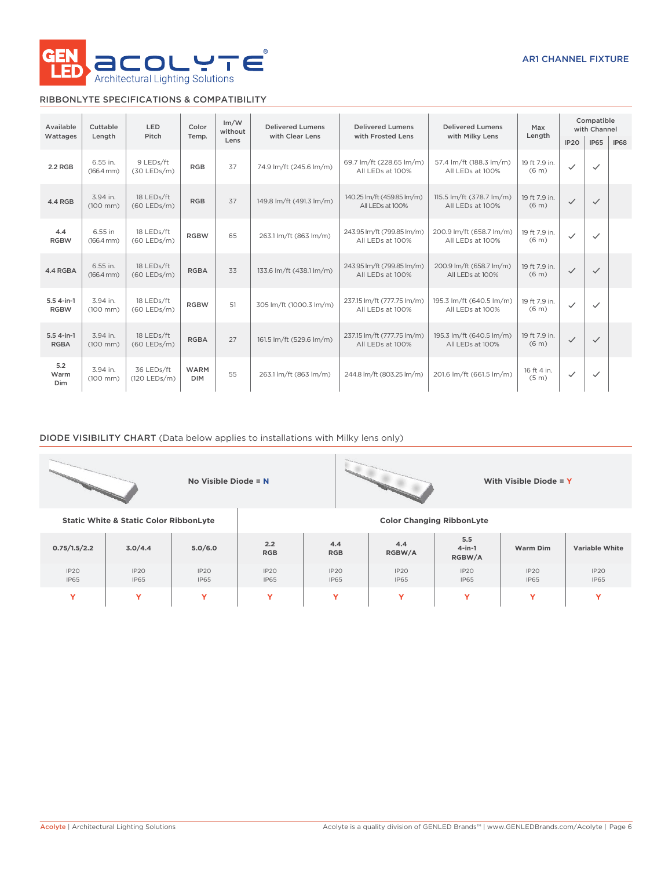

# RIBBONLYTE SPECIFICATIONS & COMPATIBILITY

| Available                   | Cuttable                           | <b>LED</b><br>Color         |                           | Im/W<br>without | <b>Delivered Lumens</b>                                                  | <b>Delivered Lumens</b>                                                                        | <b>Delivered Lumens</b>                      | Max                                | Compatible<br>with Channel |              |             |
|-----------------------------|------------------------------------|-----------------------------|---------------------------|-----------------|--------------------------------------------------------------------------|------------------------------------------------------------------------------------------------|----------------------------------------------|------------------------------------|----------------------------|--------------|-------------|
| Wattages                    | Length                             | Pitch                       | Temp.                     | Lens            | with Clear Lens                                                          | with Frosted Lens                                                                              | with Milky Lens                              | Length                             | IP <sub>20</sub>           | <b>IP65</b>  | <b>IP68</b> |
| 2.2 RGB                     | 6.55 in.<br>$(166.4 \, \text{mm})$ | 9 LEDs/ft<br>$(30$ LEDs/m)  | <b>RGB</b>                | 37              | 74.9 lm/ft (245.6 lm/m)                                                  | 69.7 lm/ft (228.65 lm/m)<br>All LEDs at 100%                                                   | 57.4 lm/ft (188.3 lm/m)<br>All LEDs at 100%  | 19 ft 7.9 in.<br>(6 <sub>m</sub> ) | $\checkmark$               | $\checkmark$ |             |
| 4.4 RGB                     | 3.94 in.<br>$(100 \, \text{mm})$   | 18 LEDs/ft<br>$(60$ LEDs/m) | <b>RGB</b>                | 37              | 149.8 lm/ft (491.3 lm/m)                                                 | 115.5 lm/ft (378.7 lm/m)<br>140.25 lm/ft (459.85 lm/m)<br>All LEDs at 100%<br>All LEDs at 100% |                                              | 19 ft 7.9 in.<br>(6 <sub>m</sub> ) | $\checkmark$               | $\checkmark$ |             |
| 4.4<br><b>RGBW</b>          | 6.55 in<br>$(166.4 \, \text{mm})$  | 18 LEDs/ft<br>$(60$ LEDs/m) | <b>RGBW</b>               | 65              | 243.95 lm/ft (799.85 lm/m)<br>263.1 lm/ft (863 lm/m)<br>All LEDs at 100% |                                                                                                | 200.9 lm/ft (658.7 lm/m)<br>All LEDs at 100% | 19 ft 7.9 in.<br>(6 <sub>m</sub> ) | $\checkmark$               | $\checkmark$ |             |
| 4.4 RGBA                    | 6.55 in.<br>$(166.4 \, \text{mm})$ | 18 LEDs/ft<br>$(60$ LEDs/m) | <b>RGBA</b>               | 33              | 133.6 lm/ft (438.1 lm/m)                                                 | 243.95 lm/ft (799.85 lm/m)<br>All LEDs at 100%                                                 | 200.9 lm/ft (658.7 lm/m)<br>All LEDs at 100% | 19 ft 7.9 in.<br>(6 <sub>m</sub> ) | $\checkmark$               | $\checkmark$ |             |
| $5.54$ -in-1<br><b>RGBW</b> | 3.94 in.<br>$(100 \, \text{mm})$   | 18 LEDs/ft<br>$(60$ LEDs/m) | <b>RGBW</b>               | 51              | 305 lm/ft (1000.3 lm/m)                                                  | 237.15 lm/ft (777.75 lm/m)<br>All LEDs at 100%                                                 | 195.3 lm/ft (640.5 lm/m)<br>All LEDs at 100% | 19 ft 7.9 in.<br>(6 <sub>m</sub> ) | ✓                          | $\checkmark$ |             |
| $5.54$ -in-1<br><b>RGBA</b> | 3.94 in.<br>$(100 \, \text{mm})$   | 18 LEDs/ft<br>$(60$ LEDs/m) | <b>RGBA</b>               | 27              | 161.5 lm/ft (529.6 lm/m)                                                 | 237.15 lm/ft (777.75 lm/m)<br>All LEDs at 100%                                                 | 195.3 lm/ft (640.5 lm/m)<br>All LEDs at 100% | 19 ft 7.9 in.<br>(6 <sub>m</sub> ) | $\checkmark$               | $\checkmark$ |             |
| 5.2<br>Warm<br><b>Dim</b>   | 3.94 in.<br>$(100 \, \text{mm})$   | 36 LEDs/ft<br>(120 LEDs/m)  | <b>WARM</b><br><b>DIM</b> | 55              | 263.1 lm/ft (863 lm/m)                                                   | 244.8 lm/ft (803.25 lm/m)                                                                      | 201.6 lm/ft (661.5 lm/m)                     | 16 ft 4 in.<br>(5 <sub>m</sub> )   | $\checkmark$               | $\checkmark$ |             |

# DIODE VISIBILITY CHART (Data below applies to installations with Milky lens only)

|              |                                                   | No Visible Diode = N |                     |                     |                                  |                            | With Visible Diode = Y |                       |  |  |
|--------------|---------------------------------------------------|----------------------|---------------------|---------------------|----------------------------------|----------------------------|------------------------|-----------------------|--|--|
|              | <b>Static White &amp; Static Color RibbonLyte</b> |                      |                     |                     | <b>Color Changing RibbonLyte</b> |                            |                        |                       |  |  |
| 0.75/1.5/2.2 | 3.0/4.4                                           | 5.0/6.0              | 2.2<br><b>RGB</b>   | 4.4<br><b>RGB</b>   | 4.4<br>RGBW/A                    | 5.5<br>$4$ -in-1<br>RGBW/A | Warm Dim               | <b>Variable White</b> |  |  |
| IP2O<br>IP65 | IP20<br><b>IP65</b>                               | IP2O<br><b>IP65</b>  | IP20<br><b>IP65</b> | IP20<br><b>IP65</b> | IP2O<br><b>IP65</b>              | IP2O<br><b>IP65</b>        | IP20<br>IP65           | IP2O<br><b>IP65</b>   |  |  |
| Y            | Y                                                 | Y                    | Y                   | Ÿ<br>Y<br>Y<br>Y    |                                  |                            |                        |                       |  |  |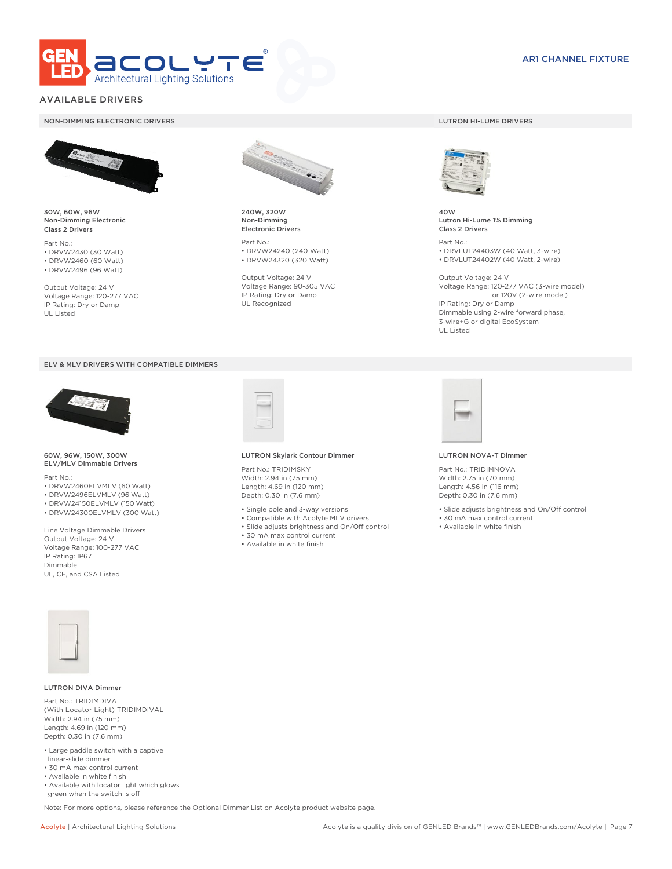

# AVAILABLE DRIVERS

#### NON-DIMMING ELECTRONIC DRIVERS LUTRON HI-LUME DRIVERS



30W, 60W, 96W Non-Dimming Electronic Class 2 Drivers

Part No.: • DRVW2430 (30 Watt) • DRVW2460 (60 Watt)

• DRVW2496 (96 Watt)

Output Voltage: 24 V Voltage Range: 120-277 VAC IP Rating: Dry or Damp UL Listed





60W, 96W, 150W, 300W ELV/MLV Dimmable Drivers

Part No.:

- DRVW2460ELVMLV (60 Watt)
- DRVW2496ELVMLV (96 Watt)
- DRVW24150ELVMLV (150 Watt)
- DRVW24300ELVMLV (300 Watt)

Line Voltage Dimmable Drivers Output Voltage: 24 V Voltage Range: 100-277 VAC IP Rating: IP67 Dimmable UL, CE, and CSA Listed



240W, 320W Non-Dimming Electronic Drivers

Part No.: • DRVW24240 (240 Watt) • DRVW24320 (320 Watt)

Output Voltage: 24 V Voltage Range: 90-305 VAC IP Rating: Dry or Damp UL Recognized



40W Lutron Hi-Lume 1% Dimming Class 2 Drivers

Part No.: • DRVLUT24403W (40 Watt, 3-wire) • DRVLUT24402W (40 Watt, 2-wire)

Output Voltage: 24 V Voltage Range: 120-277 VAC (3-wire model) or 120V (2-wire model) IP Rating: Dry or Damp Dimmable using 2-wire forward phase, 3-wire+G or digital EcoSystem UL Listed



#### LUTRON Skylark Contour Dimmer

Part No.: TRIDIMSKY Width: 2.94 in (75 mm) Length: 4.69 in (120 mm) Depth: 0.30 in (7.6 mm)

- Single pole and 3-way versions
- Compatible with Acolyte MLV drivers
- Slide adjusts brightness and On/Off control
- 30 mA max control current
- Available in white finish



#### LUTRON NOVA-T Dimmer

Part No.: TRIDIMNOVA Width: 2.75 in (70 mm) Length: 4.56 in (116 mm) Depth: 0.30 in (7.6 mm)

- Slide adjusts brightness and On/Off control
- 30 mA max control current
- Available in white finish



#### LUTRON DIVA Dimmer

Part No.: TRIDIMDIVA (With Locator Light) TRIDIMDIVAL Width: 2.94 in (75 mm) Length: 4.69 in (120 mm) Depth: 0.30 in (7.6 mm)

- Large paddle switch with a captive linear-slide dimmer
- 30 mA max control current
- Available in white finish
- Available with locator light which glows green when the switch is off

Note: For more options, please reference the Optional Dimmer List on Acolyte product website page.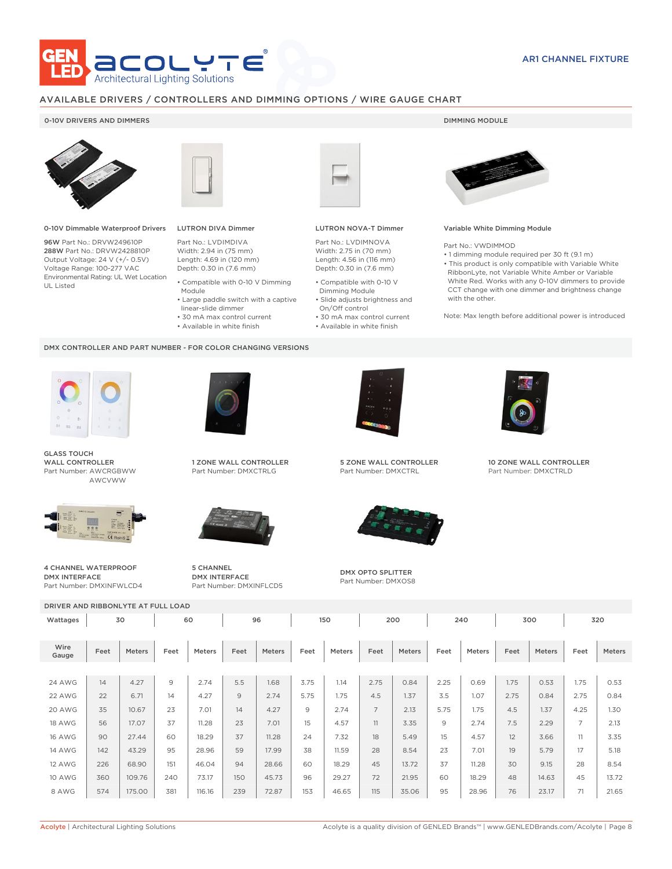

# AVAILABLE DRIVERS / CONTROLLERS AND DIMMING OPTIONS / WIRE GAUGE CHART

## 0-10V DRIVERS AND DIMMERS **DIMMING MODULE**



0-10V Dimmable Waterproof Drivers

96W Part No.: DRVW249610P 288W Part No.: DRVW2428810P Output Voltage: 24 V (+/- 0.5V) Voltage Range: 100-277 VAC Environmental Rating: UL Wet Location UL Listed



Module

DMX CONTROLLER AND PART NUMBER - FOR COLOR CHANGING VERSIONS

# LUTRON DIVA Dimmer

 linear-slide dimmer • 30 mA max control current • Available in white finish

Part No.: LVDIMDIVA Width: 2.94 in (75 mm) Length: 4.69 in (120 mm) Depth: 0.30 in (7.6 mm) • Compatible with 0-10 V Dimming

- 
- Large paddle switch with a captive • Compatible with 0-10 V Dimming Module
	- Slide adjusts brightness and On/Off control

LUTRON NOVA-T Dimmer Part No.: LVDIMNOVA Width: 2.75 in (70 mm) Length: 4.56 in (116 mm) Depth: 0.30 in (7.6 mm)

- 30 mA max control current • Available in white finish
	-



#### Variable White Dimming Module

Part No.: VWDIMMOD

• 1 dimming module required per 30 ft (9.1 m) • This product is only compatible with Variable White RibbonLyte, not Variable White Amber or Variable White Red. Works with any 0-10V dimmers to provide CCT change with one dimmer and brightness change with the other.

Note: Max length before additional power is introduced



GLASS TOUCH WALL CONTROLLER Part Number: AWCRGBWW AWCVWW



4 CHANNEL WATERPROOF DMX INTERFACE Part Number: DMXINFWLCD4



1 ZONE WALL CONTROLLER Part Number: DMXCTRLG



5 CHANNEL DMX INTERFACE Part Number: DMXINFLCD5



5 ZONE WALL CONTROLLER Part Number: DMXCTRL



DMX OPTO SPLITTER Part Number: DMXOS8



10 ZONE WALL CONTROLLER Part Number: DMXCTRLD

| DRIVER AND RIBBONLYTE AT FULL LOAD |          |        |      |           |      |        |      |        |                |        |      |        |      |        |                |        |
|------------------------------------|----------|--------|------|-----------|------|--------|------|--------|----------------|--------|------|--------|------|--------|----------------|--------|
| Wattages                           | 60<br>30 |        |      | 96<br>150 |      |        | 200  |        | 240            |        | 300  |        | 320  |        |                |        |
| Wire<br>Gauge                      | Feet     | Meters | Feet | Meters    | Feet | Meters | Feet | Meters | Feet           | Meters | Feet | Meters | Feet | Meters | Feet           | Meters |
|                                    |          |        |      |           |      |        |      |        |                |        |      |        |      |        |                |        |
| <b>24 AWG</b>                      | 14       | 4.27   | 9    | 2.74      | 5.5  | 1.68   | 3.75 | 1.14   | 2.75           | 0.84   | 2.25 | 0.69   | 1.75 | 0.53   | 1.75           | 0.53   |
| 22 AWG                             | 22       | 6.71   | 14   | 4.27      | 9    | 2.74   | 5.75 | 1.75   | 4.5            | 1.37   | 3.5  | 1.07   | 2.75 | 0.84   | 2.75           | 0.84   |
| 20 AWG                             | 35       | 10.67  | 23   | 7.01      | 14   | 4.27   | 9    | 2.74   | $\overline{7}$ | 2.13   | 5.75 | 1.75   | 4.5  | 1.37   | 4.25           | 1.30   |
| <b>18 AWG</b>                      | 56       | 17.07  | 37   | 11.28     | 23   | 7.01   | 15   | 4.57   | 11             | 3.35   | 9    | 2.74   | 7.5  | 2.29   | $\overline{7}$ | 2.13   |
| <b>16 AWG</b>                      | 90       | 27.44  | 60   | 18.29     | 37   | 11.28  | 24   | 7.32   | 18             | 5.49   | 15   | 4.57   | 12   | 3.66   | 11             | 3.35   |
| <b>14 AWG</b>                      | 142      | 43.29  | 95   | 28.96     | 59   | 17.99  | 38   | 11.59  | 28             | 8.54   | 23   | 7.01   | 19   | 5.79   | 17             | 5.18   |
| <b>12 AWG</b>                      | 226      | 68.90  | 151  | 46.04     | 94   | 28.66  | 60   | 18.29  | 45             | 13.72  | 37   | 11.28  | 30   | 9.15   | 28             | 8.54   |
| <b>10 AWG</b>                      | 360      | 109.76 | 240  | 73.17     | 150  | 45.73  | 96   | 29.27  | 72             | 21.95  | 60   | 18.29  | 48   | 14.63  | 45             | 13.72  |
| 8 AWG                              | 574      | 175.00 | 381  | 116.16    | 239  | 72.87  | 153  | 46.65  | 115            | 35.06  | 95   | 28.96  | 76   | 23.17  | 71             | 21.65  |